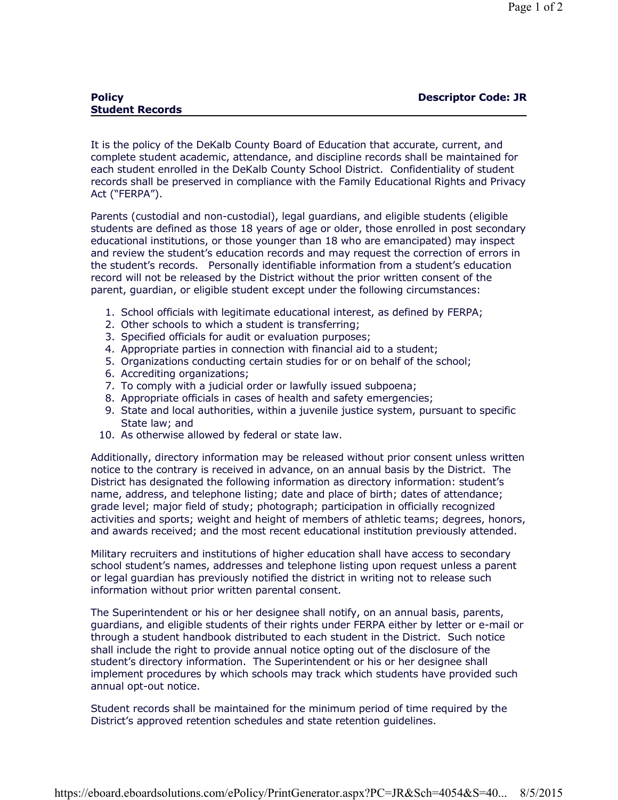| <b>Policy</b>          | <b>Descriptor Code: JR</b> |
|------------------------|----------------------------|
| <b>Student Records</b> |                            |
|                        |                            |

It is the policy of the DeKalb County Board of Education that accurate, current, and complete student academic, attendance, and discipline records shall be maintained for each student enrolled in the DeKalb County School District. Confidentiality of student records shall be preserved in compliance with the Family Educational Rights and Privacy Act ("FERPA").

Parents (custodial and non-custodial), legal guardians, and eligible students (eligible students are defined as those 18 years of age or older, those enrolled in post secondary educational institutions, or those younger than 18 who are emancipated) may inspect and review the student's education records and may request the correction of errors in the student's records. Personally identifiable information from a student's education record will not be released by the District without the prior written consent of the parent, guardian, or eligible student except under the following circumstances:

- 1. School officials with legitimate educational interest, as defined by FERPA;
- 2. Other schools to which a student is transferring;
- 3. Specified officials for audit or evaluation purposes;
- 4. Appropriate parties in connection with financial aid to a student;
- 5. Organizations conducting certain studies for or on behalf of the school;
- 6. Accrediting organizations;
- 7. To comply with a judicial order or lawfully issued subpoena;
- 8. Appropriate officials in cases of health and safety emergencies;
- 9. State and local authorities, within a juvenile justice system, pursuant to specific State law; and
- 10. As otherwise allowed by federal or state law.

Additionally, directory information may be released without prior consent unless written notice to the contrary is received in advance, on an annual basis by the District. The District has designated the following information as directory information: student's name, address, and telephone listing; date and place of birth; dates of attendance; grade level; major field of study; photograph; participation in officially recognized activities and sports; weight and height of members of athletic teams; degrees, honors, and awards received; and the most recent educational institution previously attended.

Military recruiters and institutions of higher education shall have access to secondary school student's names, addresses and telephone listing upon request unless a parent or legal guardian has previously notified the district in writing not to release such information without prior written parental consent.

The Superintendent or his or her designee shall notify, on an annual basis, parents, guardians, and eligible students of their rights under FERPA either by letter or e-mail or through a student handbook distributed to each student in the District. Such notice shall include the right to provide annual notice opting out of the disclosure of the student's directory information. The Superintendent or his or her designee shall implement procedures by which schools may track which students have provided such annual opt-out notice.

Student records shall be maintained for the minimum period of time required by the District's approved retention schedules and state retention guidelines.